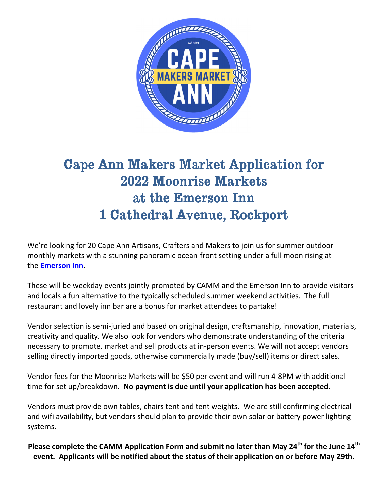

## Cape Ann Makers Market Application for 2022 Moonrise Markets at the Emerson Inn 1 Cathedral Avenue, Rockport

We're looking for 20 Cape Ann Artisans, Crafters and Makers to join us for summer outdoor monthly markets with a stunning panoramic ocean-front setting under a full moon rising at the **Emerson Inn.** 

These will be weekday events jointly promoted by CAMM and the Emerson Inn to provide visitors and locals a fun alternative to the typically scheduled summer weekend activities. The full restaurant and lovely inn bar are a bonus for market attendees to partake!

Vendor selection is semi-juried and based on original design, craftsmanship, innovation, materials, creativity and quality. We also look for vendors who demonstrate understanding of the criteria necessary to promote, market and sell products at in-person events. We will not accept vendors selling directly imported goods, otherwise commercially made (buy/sell) items or direct sales.

Vendor fees for the Moonrise Markets will be \$50 per event and will run 4-8PM with additional time for set up/breakdown. **No payment is due until your application has been accepted.**

Vendors must provide own tables, chairs tent and tent weights. We are still confirming electrical and wifi availability, but vendors should plan to provide their own solar or battery power lighting systems.

**Please complete the CAMM Application Form and submit no later than May 24th for the June 14th event. Applicants will be notified about the status of their application on or before May 29th.**